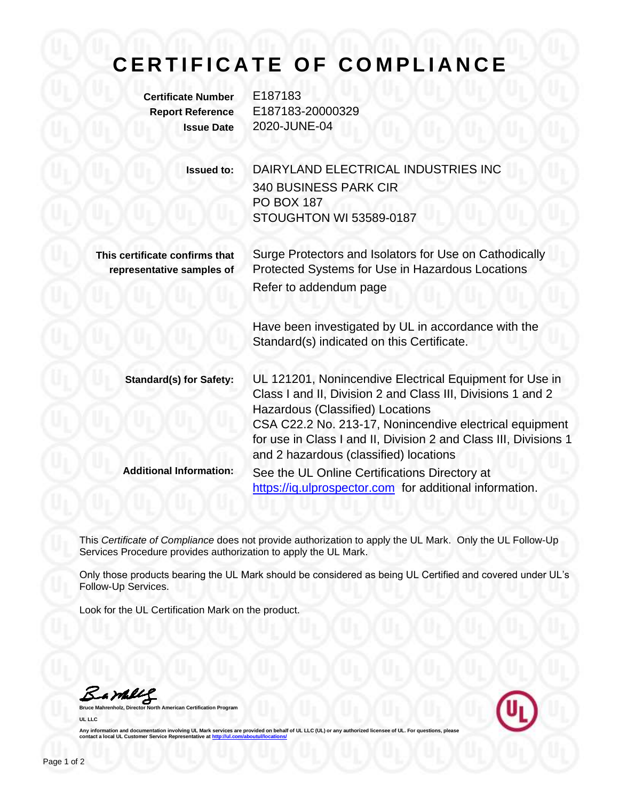## **C E R T I F I C A T E O F C O M P L I A N C E**

**Certificate Number** E187183

**Report Reference** E187183-20000329 **Issue Date** 2020-JUNE-04

> **Issued to:** DAIRYLAND ELECTRICAL INDUSTRIES INC 340 BUSINESS PARK CIR PO BOX 187 STOUGHTON WI 53589-0187

**This certificate confirms that representative samples of**

Surge Protectors and Isolators for Use on Cathodically Protected Systems for Use in Hazardous Locations Refer to addendum page

Have been investigated by UL in accordance with the Standard(s) indicated on this Certificate.

**Standard(s) for Safety:** UL 121201, Nonincendive Electrical Equipment for Use in Class I and II, Division 2 and Class III, Divisions 1 and 2 Hazardous (Classified) Locations CSA C22.2 No. 213-17, Nonincendive electrical equipment for use in Class I and II, Division 2 and Class III, Divisions 1 and 2 hazardous (classified) locations **Additional Information:** See the UL Online Certifications Directory at https://iq.ulprospector.com for additional information.

This *Certificate of Compliance* does not provide authorization to apply the UL Mark. Only the UL Follow-Up Services Procedure provides authorization to apply the UL Mark.

Only those products bearing the UL Mark should be considered as being UL Certified and covered under UL's Follow-Up Services.

Look for the UL Certification Mark on the product.

Samley

**Bruce Mahrenholz, Director North American Certification Program UL LLC**



Any information and documentation involving UL Mark services are provided on behalf of UL LLC (UL) or any authorized licensee of UL. For questions, please<br>contact a local UL Customer Service Representative at <u>http://ul.co</u>